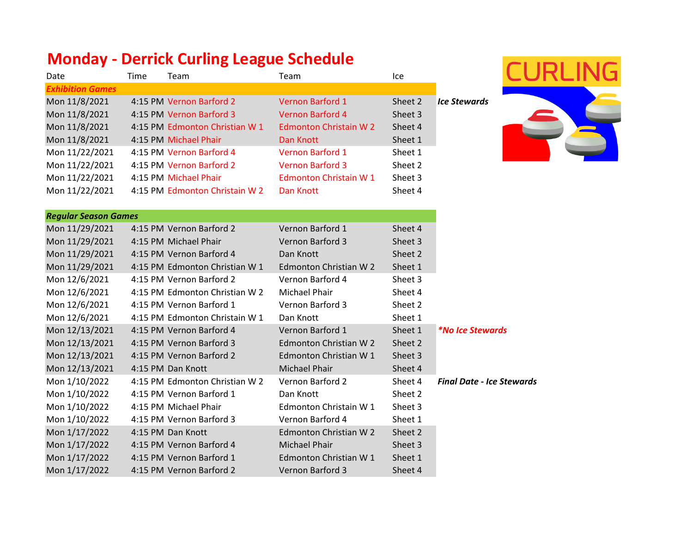## **Monday - Derrick Curling League Schedule**

| Date                    | Time | Team                           | Team                          | lce.    |                     |
|-------------------------|------|--------------------------------|-------------------------------|---------|---------------------|
| <b>Exhibition Games</b> |      |                                |                               |         |                     |
| Mon 11/8/2021           |      | 4:15 PM Vernon Barford 2       | <b>Vernon Barford 1</b>       | Sheet 2 | <b>Ice Stewards</b> |
| Mon 11/8/2021           |      | 4:15 PM Vernon Barford 3       | Vernon Barford 4              | Sheet 3 |                     |
| Mon 11/8/2021           |      | 4:15 PM Edmonton Christian W 1 | <b>Edmonton Christain W 2</b> | Sheet 4 |                     |
| Mon 11/8/2021           |      | 4:15 PM Michael Phair          | Dan Knott                     | Sheet 1 |                     |
| Mon 11/22/2021          |      | 4:15 PM Vernon Barford 4       | Vernon Barford 1              | Sheet 1 |                     |
| Mon 11/22/2021          |      | 4:15 PM Vernon Barford 2       | <b>Vernon Barford 3</b>       | Sheet 2 |                     |
| Mon 11/22/2021          |      | 4:15 PM Michael Phair          | Edmonton Christain W 1        | Sheet 3 |                     |
| Mon 11/22/2021          |      | 4:15 PM Edmonton Christain W 2 | Dan Knott                     | Sheet 4 |                     |



| <b>Regular Season Games</b> |                                |                         |         |                                  |
|-----------------------------|--------------------------------|-------------------------|---------|----------------------------------|
| Mon 11/29/2021              | 4:15 PM Vernon Barford 2       | Vernon Barford 1        | Sheet 4 |                                  |
| Mon 11/29/2021              | 4:15 PM Michael Phair          | <b>Vernon Barford 3</b> | Sheet 3 |                                  |
| Mon 11/29/2021              | 4:15 PM Vernon Barford 4       | Dan Knott               | Sheet 2 |                                  |
| Mon 11/29/2021              | 4:15 PM Edmonton Christian W 1 | Edmonton Christian W 2  | Sheet 1 |                                  |
| Mon 12/6/2021               | 4:15 PM Vernon Barford 2       | Vernon Barford 4        | Sheet 3 |                                  |
| Mon 12/6/2021               | 4:15 PM Edmonton Christian W 2 | Michael Phair           | Sheet 4 |                                  |
| Mon 12/6/2021               | 4:15 PM Vernon Barford 1       | Vernon Barford 3        | Sheet 2 |                                  |
| Mon 12/6/2021               | 4:15 PM Edmonton Christain W 1 | Dan Knott               | Sheet 1 |                                  |
| Mon 12/13/2021              | 4:15 PM Vernon Barford 4       | Vernon Barford 1        | Sheet 1 | <i>*No Ice Stewards</i>          |
| Mon 12/13/2021              | 4:15 PM Vernon Barford 3       | Edmonton Christian W 2  | Sheet 2 |                                  |
| Mon 12/13/2021              | 4:15 PM Vernon Barford 2       | Edmonton Christian W 1  | Sheet 3 |                                  |
| Mon 12/13/2021              | 4:15 PM Dan Knott              | Michael Phair           | Sheet 4 |                                  |
| Mon 1/10/2022               | 4:15 PM Edmonton Christian W 2 | Vernon Barford 2        | Sheet 4 | <b>Final Date - Ice Stewards</b> |
| Mon 1/10/2022               | 4:15 PM Vernon Barford 1       | Dan Knott               | Sheet 2 |                                  |
| Mon 1/10/2022               | 4:15 PM Michael Phair          | Edmonton Christain W 1  | Sheet 3 |                                  |
| Mon 1/10/2022               | 4:15 PM Vernon Barford 3       | Vernon Barford 4        | Sheet 1 |                                  |
| Mon 1/17/2022               | 4:15 PM Dan Knott              | Edmonton Christian W 2  | Sheet 2 |                                  |
| Mon 1/17/2022               | 4:15 PM Vernon Barford 4       | Michael Phair           | Sheet 3 |                                  |
| Mon 1/17/2022               | 4:15 PM Vernon Barford 1       | Edmonton Christian W 1  | Sheet 1 |                                  |
| Mon 1/17/2022               | 4:15 PM Vernon Barford 2       | Vernon Barford 3        | Sheet 4 |                                  |